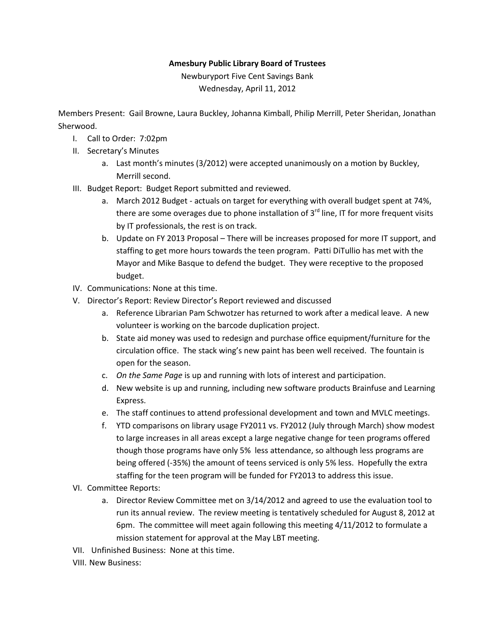## **Amesbury Public Library Board of Trustees**

Newburyport Five Cent Savings Bank Wednesday, April 11, 2012

Members Present: Gail Browne, Laura Buckley, Johanna Kimball, Philip Merrill, Peter Sheridan, Jonathan Sherwood.

- I. Call to Order: 7:02pm
- II. Secretary's Minutes
	- a. Last month's minutes (3/2012) were accepted unanimously on a motion by Buckley, Merrill second.
- III. Budget Report: Budget Report submitted and reviewed.
	- a. March 2012 Budget actuals on target for everything with overall budget spent at 74%, there are some overages due to phone installation of  $3<sup>rd</sup>$  line, IT for more frequent visits by IT professionals, the rest is on track.
	- b. Update on FY 2013 Proposal There will be increases proposed for more IT support, and staffing to get more hours towards the teen program. Patti DiTullio has met with the Mayor and Mike Basque to defend the budget. They were receptive to the proposed budget.
- IV. Communications: None at this time.
- V. Director's Report: Review Director's Report reviewed and discussed
	- a. Reference Librarian Pam Schwotzer has returned to work after a medical leave. A new volunteer is working on the barcode duplication project.
	- b. State aid money was used to redesign and purchase office equipment/furniture for the circulation office. The stack wing's new paint has been well received. The fountain is open for the season.
	- c. *On the Same Page* is up and running with lots of interest and participation.
	- d. New website is up and running, including new software products Brainfuse and Learning Express.
	- e. The staff continues to attend professional development and town and MVLC meetings.
	- f. YTD comparisons on library usage FY2011 vs. FY2012 (July through March) show modest to large increases in all areas except a large negative change for teen programs offered though those programs have only 5% less attendance, so although less programs are being offered (-35%) the amount of teens serviced is only 5% less. Hopefully the extra staffing for the teen program will be funded for FY2013 to address this issue.
- VI. Committee Reports:
	- a. Director Review Committee met on 3/14/2012 and agreed to use the evaluation tool to run its annual review. The review meeting is tentatively scheduled for August 8, 2012 at 6pm. The committee will meet again following this meeting 4/11/2012 to formulate a mission statement for approval at the May LBT meeting.
- VII. Unfinished Business: None at this time.
- VIII. New Business: